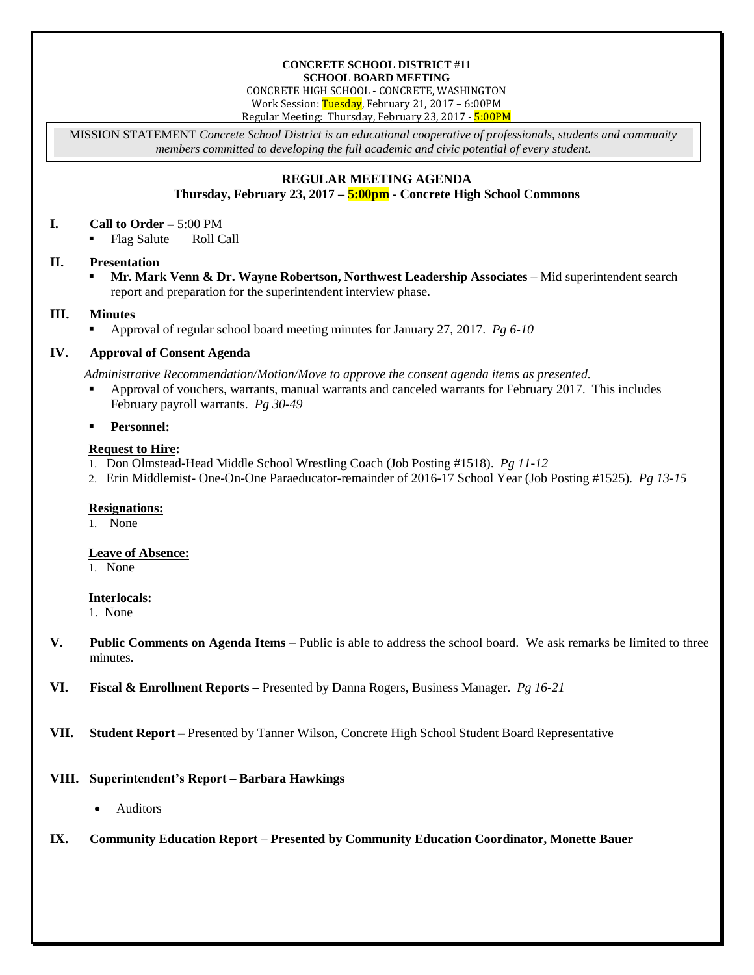#### **CONCRETE SCHOOL DISTRICT #11 SCHOOL BOARD MEETING**

CONCRETE HIGH SCHOOL - CONCRETE, WASHINGTON Work Session: Tuesday, February 21, 2017 – 6:00PM

Regular Meeting: Thursday, February 23, 2017 - 5:00PM

MISSION STATEMENT *Concrete School District is an educational cooperative of professionals, students and community members committed to developing the full academic and civic potential of every student.*

# **REGULAR MEETING AGENDA**

#### **Thursday, February 23, 2017 – 5:00pm - Concrete High School Commons**

- **I. Call to Order** 5:00 PM
	- Flag Salute Roll Call

#### **II. Presentation**

 **Mr. Mark Venn & Dr. Wayne Robertson, Northwest Leadership Associates –** Mid superintendent search report and preparation for the superintendent interview phase.

#### **III. Minutes**

Approval of regular school board meeting minutes for January 27, 2017. *Pg 6-10*

# **IV. Approval of Consent Agenda**

*Administrative Recommendation/Motion/Move to approve the consent agenda items as presented.*

 Approval of vouchers, warrants, manual warrants and canceled warrants for February 2017. This includes February payroll warrants. *Pg 30-49*

**Personnel:**

# **Request to Hire:**

- 1. Don Olmstead-Head Middle School Wrestling Coach (Job Posting #1518). *Pg 11-12*
- 2. Erin Middlemist- One-On-One Paraeducator-remainder of 2016-17 School Year (Job Posting #1525). *Pg 13-15*

#### **Resignations:**

1. None

# **Leave of Absence:**

1. None

#### **Interlocals:**

1. None

- **V. Public Comments on Agenda Items** Public is able to address the school board. We ask remarks be limited to three minutes.
- **VI. Fiscal & Enrollment Reports –** Presented by Danna Rogers, Business Manager. *Pg 16-21*
- **VII. Student Report** Presented by Tanner Wilson, Concrete High School Student Board Representative

# **VIII. Superintendent's Report – Barbara Hawkings**

Auditors

# **IX. Community Education Report – Presented by Community Education Coordinator, Monette Bauer**